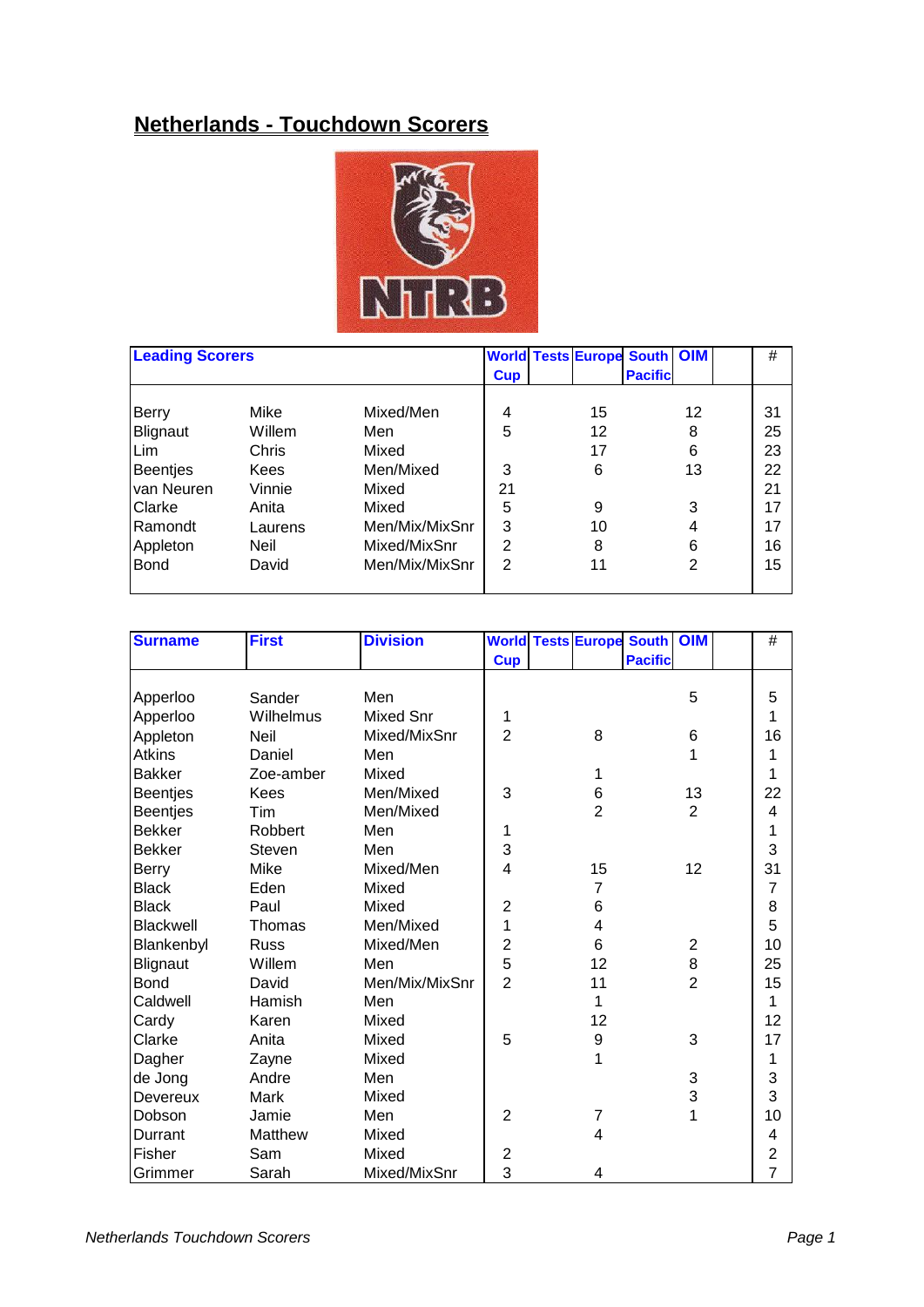## **Netherlands - Touchdown Scorers**



| <b>Leading Scorers</b> |         |                |                | <b>World Tests Europe South OIM</b> |                |    | #  |
|------------------------|---------|----------------|----------------|-------------------------------------|----------------|----|----|
|                        |         |                | <b>Cup</b>     |                                     | <b>Pacific</b> |    |    |
| Berry                  | Mike    | Mixed/Men      | 4              | 15                                  |                | 12 | 31 |
| Blignaut               | Willem  | Men            | 5              | 12                                  |                | 8  | 25 |
| Lim                    | Chris   | Mixed          |                | 17                                  |                | 6  | 23 |
| <b>Beentjes</b>        | Kees    | Men/Mixed      | 3              | 6                                   |                | 13 | 22 |
| van Neuren             | Vinnie  | Mixed          | 21             |                                     |                |    | 21 |
| Clarke                 | Anita   | Mixed          | 5              | 9                                   |                | 3  | 17 |
| Ramondt                | Laurens | Men/Mix/MixSnr | 3              | 10                                  |                | 4  | 17 |
| Appleton               | Neil    | Mixed/MixSnr   | $\overline{2}$ | 8                                   |                | 6  | 16 |
| <b>Bond</b>            | David   | Men/Mix/MixSnr | 2              | 11                                  |                | 2  | 15 |
|                        |         |                |                |                                     |                |    |    |

| <b>Surname</b>  | <b>First</b> | <b>Division</b>  |                |                         | <b>World Tests Europe South OIM</b> |                | $\#$           |
|-----------------|--------------|------------------|----------------|-------------------------|-------------------------------------|----------------|----------------|
|                 |              |                  | <b>Cup</b>     |                         | <b>Pacific</b>                      |                |                |
|                 |              |                  |                |                         |                                     |                |                |
| Apperloo        | Sander       | Men              |                |                         |                                     | 5              | 5              |
| Apperloo        | Wilhelmus    | <b>Mixed Snr</b> | 1              |                         |                                     |                | 1              |
| Appleton        | Neil         | Mixed/MixSnr     | $\overline{2}$ | 8                       |                                     | $\,6$          | 16             |
| <b>Atkins</b>   | Daniel       | Men              |                |                         |                                     | 1              | 1              |
| <b>Bakker</b>   | Zoe-amber    | Mixed            |                | 1                       |                                     |                | 1              |
| <b>Beentjes</b> | <b>Kees</b>  | Men/Mixed        | 3              | 6                       |                                     | 13             | 22             |
| <b>Beentjes</b> | Tim          | Men/Mixed        |                | $\overline{2}$          |                                     | $\overline{2}$ | 4              |
| <b>Bekker</b>   | Robbert      | Men              | 1              |                         |                                     |                | 1              |
| <b>Bekker</b>   | Steven       | Men              | 3              |                         |                                     |                | 3              |
| Berry           | Mike         | Mixed/Men        | 4              | 15                      |                                     | 12             | 31             |
| <b>Black</b>    | Eden         | Mixed            |                | $\overline{7}$          |                                     |                | 7              |
| <b>Black</b>    | Paul         | Mixed            | $\overline{2}$ | 6                       |                                     |                | 8              |
| Blackwell       | Thomas       | Men/Mixed        | 1              | 4                       |                                     |                | 5              |
| Blankenbyl      | <b>Russ</b>  | Mixed/Men        | 2              | 6                       |                                     | $\overline{c}$ | 10             |
| Blignaut        | Willem       | Men              | 5              | 12                      |                                     | 8              | 25             |
| <b>Bond</b>     | David        | Men/Mix/MixSnr   | $\overline{2}$ | 11                      |                                     | $\overline{2}$ | 15             |
| Caldwell        | Hamish       | Men              |                | 1                       |                                     |                | 1              |
| Cardy           | Karen        | Mixed            |                | 12                      |                                     |                | 12             |
| Clarke          | Anita        | Mixed            | 5              | $\boldsymbol{9}$        |                                     | 3              | 17             |
| Dagher          | Zayne        | Mixed            |                | 1                       |                                     |                | 1              |
| de Jong         | Andre        | Men              |                |                         |                                     | 3              | 3              |
| Devereux        | Mark         | Mixed            |                |                         |                                     | 3              | 3              |
| Dobson          | Jamie        | Men              | $\overline{2}$ | $\overline{7}$          |                                     | 1              | 10             |
| Durrant         | Matthew      | Mixed            |                | $\overline{\mathbf{4}}$ |                                     |                | 4              |
| Fisher          | Sam          | Mixed            | $\overline{2}$ |                         |                                     |                | $\overline{2}$ |
| Grimmer         | Sarah        | Mixed/MixSnr     | 3              | 4                       |                                     |                | $\overline{7}$ |